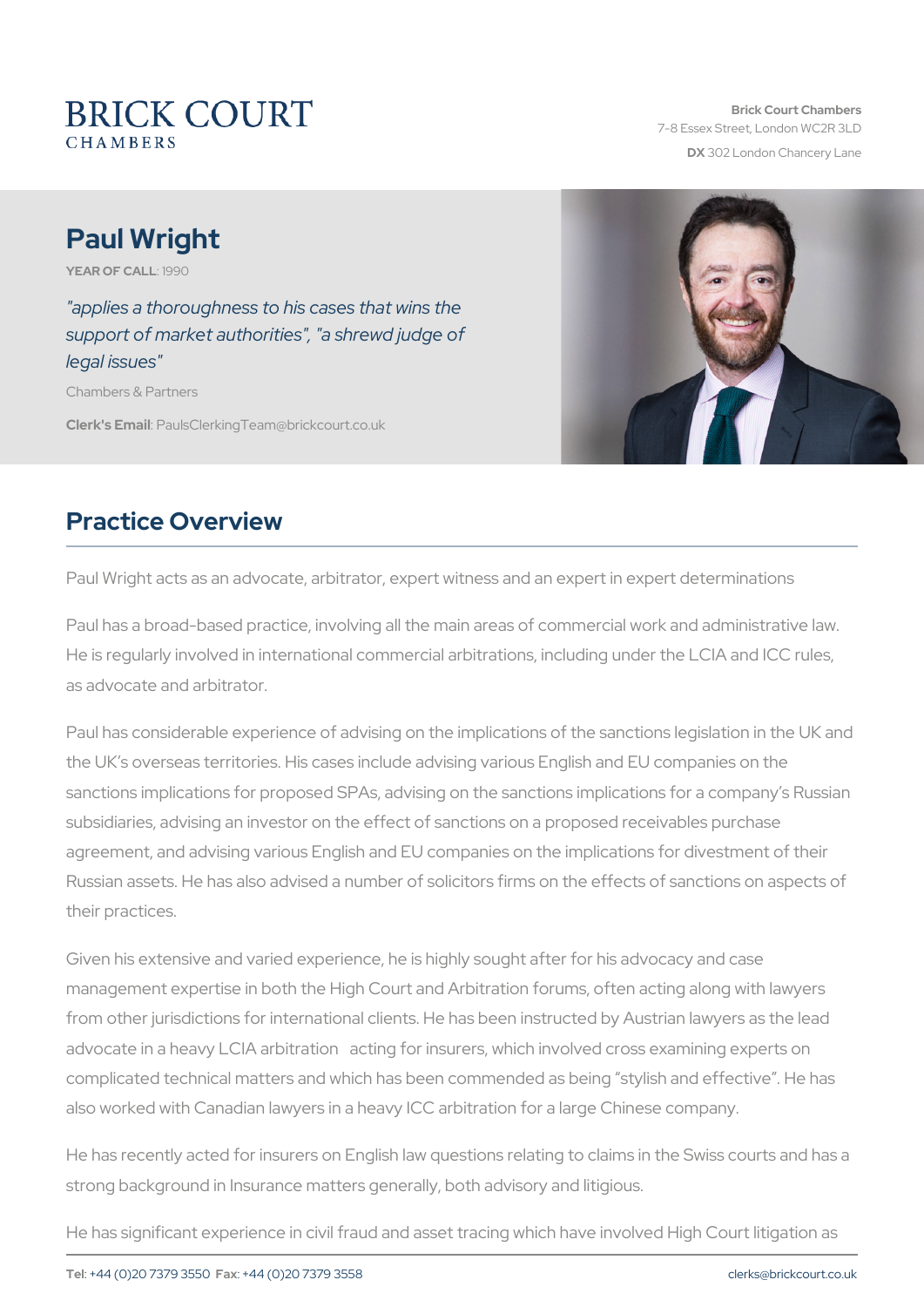# Paul Wright

YEAR OF CALL9190

"applies a thoroughness to his cases that wins the support of market authorities", "a shrewd judge of legal issues"

Chambers & Partners

Clerk's E. Phaaulls Clerking Team @ brickcourt.co.uk

### Practice Overview

Paul Wright acts as an advocate, arbitrator, expert witness and an expert

Paul has a broad-based practice, involving all the main areas of comm He is regularly involved in international commercial arbitrations, including under as advocate and arbitrator.

Paul has considerable experience of advising on the implications of the the UK s overseas territories. His cases include advising various Engl sanctions implications for proposed SPAs, advising on the sanctions i subsidiaries, advising an investor on the effect of sanctions on a prop agreement, and advising various English and EU companies on the imp Russian assets. He has also advised a number of solicitors firms on the their practices.

Given his extensive and varied experience, he is highly sought after f management expertise in both the High Court and Arbitration forums, from other jurisdictions for international clients. He has been instruct advocate in a heavy LCIA arbitration acting for insurers, which invol complicated technical matters and which has been commended as bein also worked with Canadian lawyers in a heavy ICC arbitration for a large

He has recently acted for insurers on English law questions relating to strong background in Insurance matters generally, both advisory and I

He has significant experience in civil fraud and asset tracing which have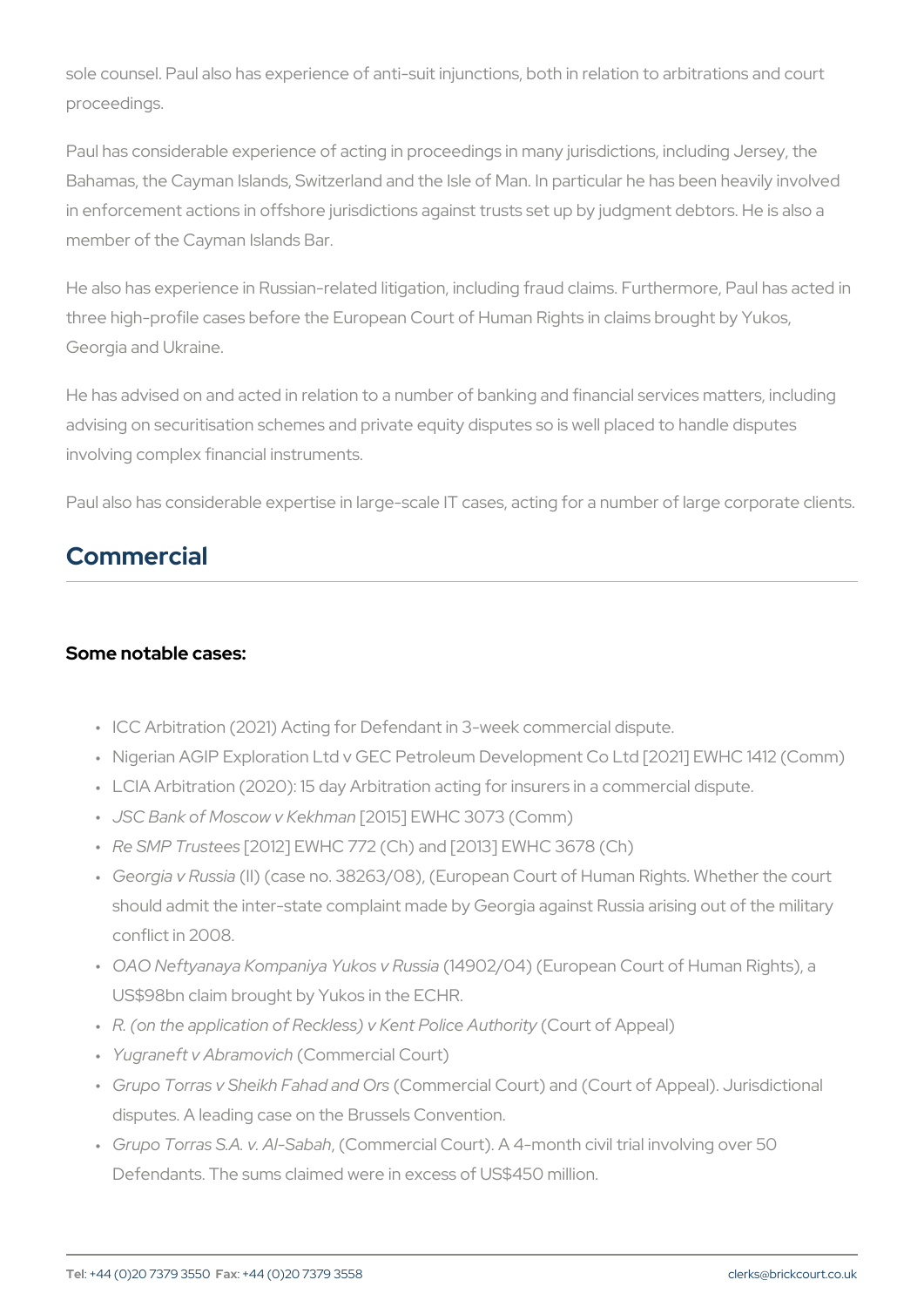sole counsel. Paul also has experience of anti-suit injunctions, both i proceedings.

Paul has considerable experience of acting in proceedings in many jur Bahamas, the Cayman Islands, Switzerland and the Isle of Man. In part in enforcement actions in offshore jurisdictions against trusts set up I member of the Cayman Islands Bar.

He also has experience in Russian-related litigation, including fraud c three high-profile cases before the European Court of Human Rights in Georgia and Ukraine.

He has advised on and acted in relation to a number of banking and fi advising on securitisation schemes and private equity disputes so is w involving complex financial instruments.

Paul also has considerable expertise in large-scale IT cases, acting for

### Commercial

#### Some notable cases:

- " ICC Arbitration (2021) Acting for Defendant in 3-week commercial
- " Nigerian AGIP Exploration Ltd v GEC Petroleum Development Co L
- " LCIA Arbitration (2020): 15 day Arbitration acting for insurers in a " JSC Bank of Moscow [20K16] hEmVah C 3073 (Comm)
- " Re SMP Trui 20ed EWHC 772 (Ch) and [2013] EWHC 3678 (Ch)
- " Georgia v Rlulþs(icaase no. 38263/08), (European Court of Human Rigl should admit the inter-state complaint made by Georgia against Ru conflict in 2008.
- " OAO Neftyanaya Kompaniya( Y4u Skola) o 4 Ru( Esui ao pean Court of Human F US\$98bn claim brought by Yukos in the ECHR.
- " R. (on the application of Reckless) (CC oKuent of PoAiccree Alu)thority
- " Yugraneft v Abr(aOnom wrince hr cial Court)
- " Grupo Torras v Sheikh FQaohmann ann and a OrGourt) and (Court of Appeal). disputes. A leading case on the Brussels Convention.
- " Grupo Torras S.A.,v(CAblm Shaebrashal Court). A 4-month civil trial involv Defendants. The sums claimed were in excess of US\$450 million.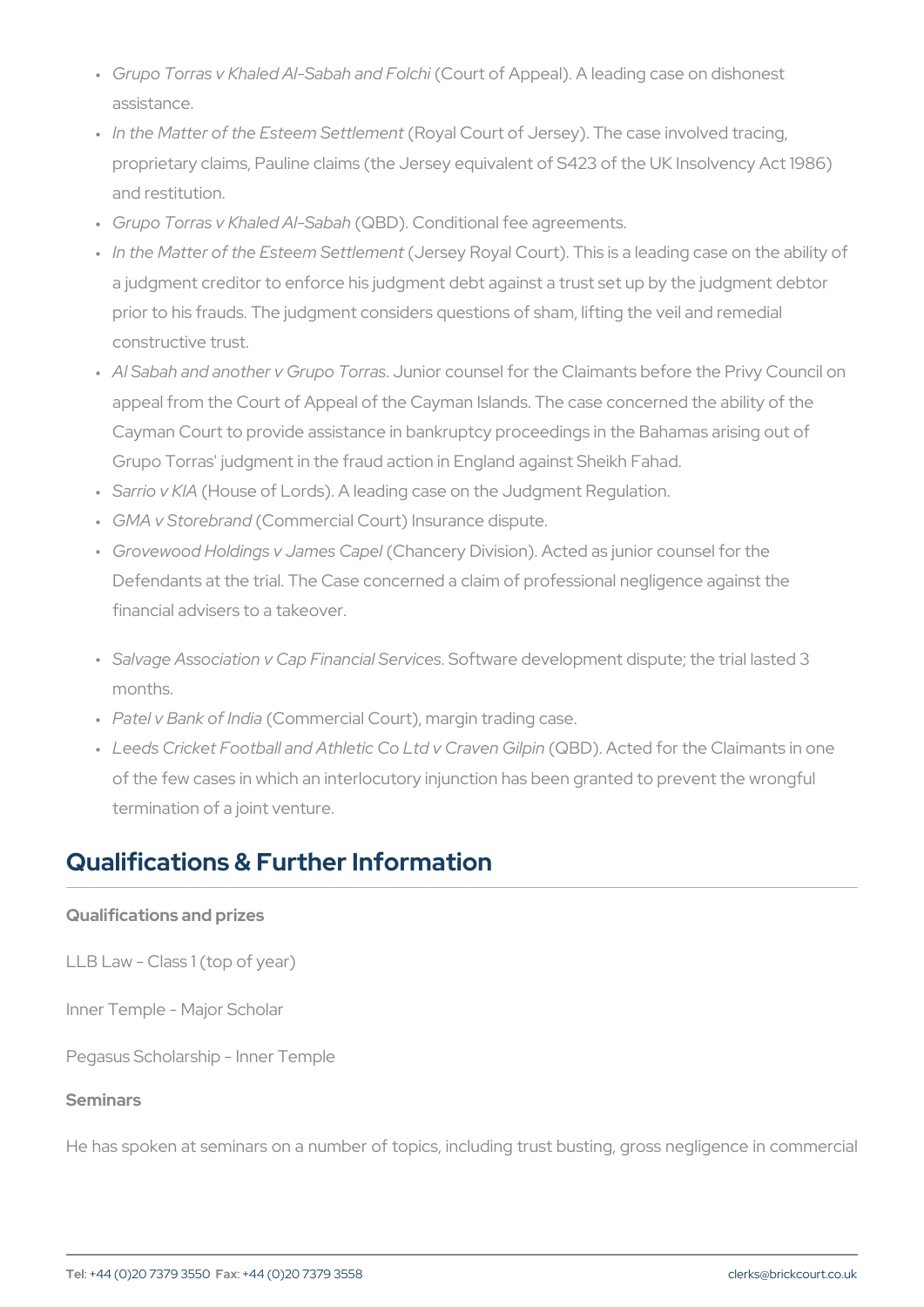- " Grupo Torras v Khaled Al-紧6 banhtaonfd A pplecahli). A leading case on dis assistance.
- " In the Matter of the Este(eRnoyStaeltCloewnrothed Jersey). The case involved proprietary claims, Pauline claims (the Jersey equivalent of S423 and restitution.
- " Grupo Torras v Khale@BADI). S & boah ditional fee agreements.
- " In the Matter of the Este(eJmerSseythPeony eant Court). This is a leading ca a judgment creditor to enforce his judgment debt against a trust s prior to his frauds. The judgment considers questions of sham, lift constructive trust.
- " Al Sabah and another v **Gun**pcor Tonurmassel for the Claimants before th appeal from the Court of Appeal of the Cayman Islands. The case Cayman Court to provide assistance in bankruptcy proceedings in Grupo Torras' judgment in the fraud action in England against She
- " Sarrio V HKduse of Lords). A leading case on the Judgment Regulati
- " GMA v Store(Cram chercial Court) Insurance dispute.
- " Grovewood Holdings v (JQalmaensc Erayp Dlivision). A cted as junior counse Defendants at the trial. The Case concerned a claim of profession financial advisers to a takeover.
- " Salvage Association v Cap FiShoafnt wizarle Soberved opment dispute; the tria months.
- " Patel v Bank (Commdeacial Court), margin trading case.
- " Leeds Cricket Football and Athletic (CCoBDt)d A cOteadvfeonr GhilepiOnlaimants of the few cases in which an interlocutory injunction has been gra termination of a joint venture.

## Qualifications & Further Information

Qualifications and prizes LLB Law - Class 1 (top of year) Inner Temple - Major Scholar Pegasus Scholarship - Inner Temple Seminars

He has spoken at seminars on a number of topics, including trust bus